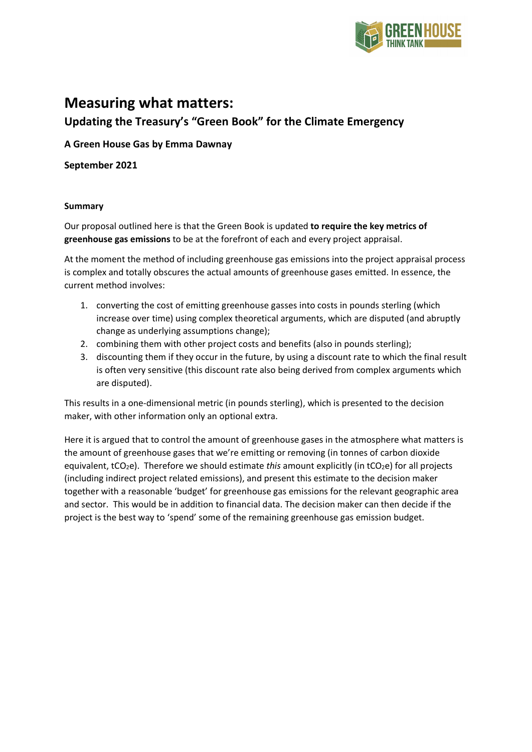

# **Measuring what matters:**

# **Updating the Treasury's "Green Book" for the Climate Emergency**

### **A Green House Gas by Emma Dawnay**

**September 2021**

#### **Summary**

Our proposal outlined here is that the Green Book is updated **to require the key metrics of greenhouse gas emissions** to be at the forefront of each and every project appraisal.

At the moment the method of including greenhouse gas emissions into the project appraisal process is complex and totally obscures the actual amounts of greenhouse gases emitted. In essence, the current method involves:

- 1. converting the cost of emitting greenhouse gasses into costs in pounds sterling (which increase over time) using complex theoretical arguments, which are disputed (and abruptly change as underlying assumptions change);
- 2. combining them with other project costs and benefits (also in pounds sterling);
- 3. discounting them if they occur in the future, by using a discount rate to which the final result is often very sensitive (this discount rate also being derived from complex arguments which are disputed).

This results in a one-dimensional metric (in pounds sterling), which is presented to the decision maker, with other information only an optional extra.

Here it is argued that to control the amount of greenhouse gases in the atmosphere what matters is the amount of greenhouse gases that we're emitting or removing (in tonnes of carbon dioxide equivalent, tCO<sub>2</sub>e). Therefore we should estimate *this* amount explicitly (in tCO<sub>2</sub>e) for all projects (including indirect project related emissions), and present this estimate to the decision maker together with a reasonable 'budget' for greenhouse gas emissions for the relevant geographic area and sector. This would be in addition to financial data. The decision maker can then decide if the project is the best way to 'spend' some of the remaining greenhouse gas emission budget.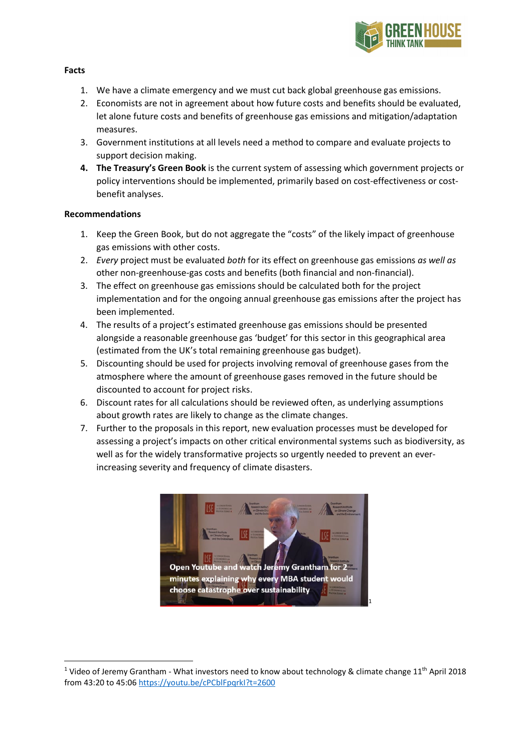

#### **Facts**

- 1. We have a climate emergency and we must cut back global greenhouse gas emissions.
- 2. Economists are not in agreement about how future costs and benefits should be evaluated, let alone future costs and benefits of greenhouse gas emissions and mitigation/adaptation measures.
- 3. Government institutions at all levels need a method to compare and evaluate projects to support decision making.
- **4. The Treasury's Green Book** is the current system of assessing which government projects or policy interventions should be implemented, primarily based on cost-effectiveness or costbenefit analyses.

#### **Recommendations**

- 1. Keep the Green Book, but do not aggregate the "costs" of the likely impact of greenhouse gas emissions with other costs.
- 2. *Every* project must be evaluated *both* for its effect on greenhouse gas emissions *as well as* other non-greenhouse-gas costs and benefits (both financial and non-financial).
- 3. The effect on greenhouse gas emissions should be calculated both for the project implementation and for the ongoing annual greenhouse gas emissions after the project has been implemented.
- 4. The results of a project's estimated greenhouse gas emissions should be presented alongside a reasonable greenhouse gas 'budget' for this sector in this geographical area (estimated from the UK's total remaining greenhouse gas budget).
- 5. Discounting should be used for projects involving removal of greenhouse gases from the atmosphere where the amount of greenhouse gases removed in the future should be discounted to account for project risks.
- 6. Discount rates for all calculations should be reviewed often, as underlying assumptions about growth rates are likely to change as the climate changes.
- 7. Further to the proposals in this report, new evaluation processes must be developed for assessing a project's impacts on other critical environmental systems such as biodiversity, as well as for the widely transformative projects so urgently needed to prevent an everincreasing severity and frequency of climate disasters.



<span id="page-1-0"></span><sup>&</sup>lt;sup>1</sup> Video of Jeremy Grantham - What investors need to know about technology & climate change 11<sup>th</sup> April 2018 from 43:20 to 45:0[6 https://youtu.be/cPCblFpqrkI?t=2600](https://youtu.be/cPCblFpqrkI?t=2600)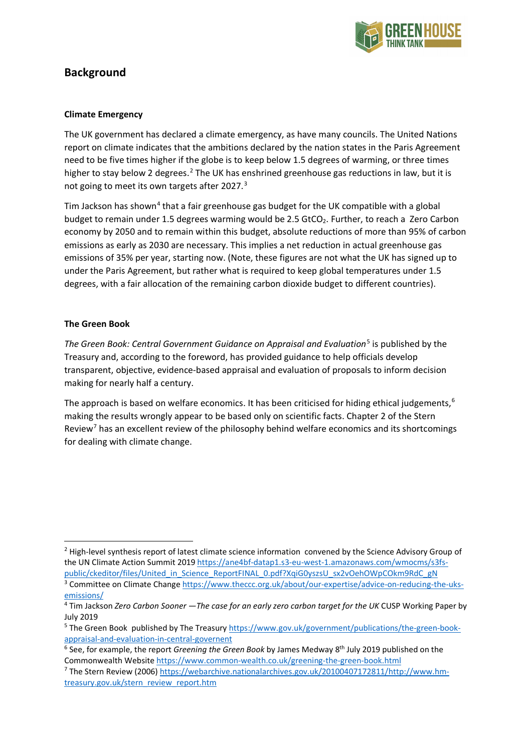

# **Background**

#### **Climate Emergency**

The UK government has declared a climate emergency, as have many councils. The United Nations report on climate indicates that the ambitions declared by the nation states in the Paris Agreement need to be five times higher if the globe is to keep below 1.5 degrees of warming, or three times higher to stay below [2](#page-2-0) degrees.<sup>2</sup> The UK has enshrined greenhouse gas reductions in law, but it is not going to meet its own targets after 2027.<sup>[3](#page-2-1)</sup>

Tim Jackson has shown<sup>[4](#page-2-2)</sup> that a fair greenhouse gas budget for the UK compatible with a global budget to remain under 1.5 degrees warming would be 2.5 GtCO<sub>2</sub>. Further, to reach a Zero Carbon economy by 2050 and to remain within this budget, absolute reductions of more than 95% of carbon emissions as early as 2030 are necessary. This implies a net reduction in actual greenhouse gas emissions of 35% per year, starting now. (Note, these figures are not what the UK has signed up to under the Paris Agreement, but rather what is required to keep global temperatures under 1.5 degrees, with a fair allocation of the remaining carbon dioxide budget to different countries).

#### **The Green Book**

*The Green Book: Central Government Guidance on Appraisal and Evaluation<sup>[5](#page-2-3)</sup> is published by the* Treasury and, according to the foreword, has provided guidance to help officials develop transparent, objective, evidence-based appraisal and evaluation of proposals to inform decision making for nearly half a century.

The approach is based on welfare economics. It has been criticised for hiding ethical judgements,  $6$ making the results wrongly appear to be based only on scientific facts. Chapter 2 of the Stern Review<sup>[7](#page-2-5)</sup> has an excellent review of the philosophy behind welfare economics and its shortcomings for dealing with climate change.

<span id="page-2-0"></span><sup>&</sup>lt;sup>2</sup> High-level synthesis report of latest climate science information convened by the Science Advisory Group of the UN Climate Action Summit 2019 [https://ane4bf-datap1.s3-eu-west-1.amazonaws.com/wmocms/s3fs](https://ane4bf-datap1.s3-eu-west-1.amazonaws.com/wmocms/s3fs-public/ckeditor/files/United_in_Science_ReportFINAL_0.pdf?XqiG0yszsU_sx2vOehOWpCOkm9RdC_gN)[public/ckeditor/files/United\\_in\\_Science\\_ReportFINAL\\_0.pdf?XqiG0yszsU\\_sx2vOehOWpCOkm9RdC\\_gN](https://ane4bf-datap1.s3-eu-west-1.amazonaws.com/wmocms/s3fs-public/ckeditor/files/United_in_Science_ReportFINAL_0.pdf?XqiG0yszsU_sx2vOehOWpCOkm9RdC_gN) <sup>3</sup> Committee on Climate Change [https://www.theccc.org.uk/about/our-expertise/advice-on-reducing-the-uks](https://www.theccc.org.uk/about/our-expertise/advice-on-reducing-the-uks-emissions/)[emissions/](https://www.theccc.org.uk/about/our-expertise/advice-on-reducing-the-uks-emissions/)

<span id="page-2-2"></span><span id="page-2-1"></span><sup>4</sup> Tim Jackson *Zero Carbon Sooner —The case for an early zero carbon target for the UK* CUSP Working Paper by July 2019

<span id="page-2-3"></span><sup>5</sup> The Green Book published by The Treasury [https://www.gov.uk/government/publications/the-green-book](https://www.gov.uk/government/publications/the-green-book-appraisal-and-evaluation-in-central-governent)[appraisal-and-evaluation-in-central-governent](https://www.gov.uk/government/publications/the-green-book-appraisal-and-evaluation-in-central-governent)

<span id="page-2-4"></span><sup>6</sup> See, for example, the report *Greening the Green Book* by James Medway 8th July 2019 published on the Commonwealth Website<https://www.common-wealth.co.uk/greening-the-green-book.html>

<span id="page-2-5"></span><sup>7</sup> The Stern Review (2006) [https://webarchive.nationalarchives.gov.uk/20100407172811/http://www.hm](https://webarchive.nationalarchives.gov.uk/20100407172811/http:/www.hm-treasury.gov.uk/stern_review_report.htm)[treasury.gov.uk/stern\\_review\\_report.htm](https://webarchive.nationalarchives.gov.uk/20100407172811/http:/www.hm-treasury.gov.uk/stern_review_report.htm)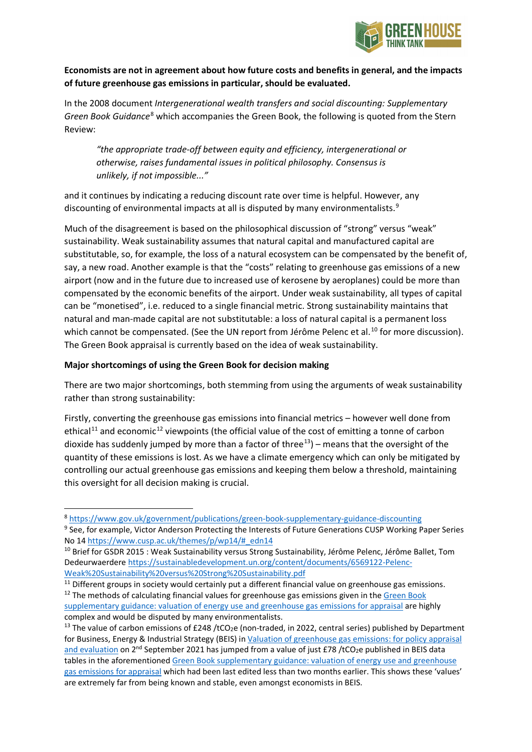

### **Economists are not in agreement about how future costs and benefits in general, and the impacts of future greenhouse gas emissions in particular, should be evaluated.**

In the 2008 document *Intergenerational wealth transfers and social discounting: Supplementary Green Book Guidance*[8](#page-3-0) which accompanies the Green Book, the following is quoted from the Stern Review:

*"the appropriate trade-off between equity and efficiency, intergenerational or otherwise, raises fundamental issues in political philosophy. Consensus is unlikely, if not impossible..."*

and it continues by indicating a reducing discount rate over time is helpful. However, any discounting of environmental impacts at all is disputed by many environmentalists.<sup>[9](#page-3-1)</sup>

Much of the disagreement is based on the philosophical discussion of "strong" versus "weak" sustainability. Weak sustainability assumes that natural capital and manufactured capital are substitutable, so, for example, the loss of a natural ecosystem can be compensated by the benefit of, say, a new road. Another example is that the "costs" relating to greenhouse gas emissions of a new airport (now and in the future due to increased use of kerosene by aeroplanes) could be more than compensated by the economic benefits of the airport. Under weak sustainability, all types of capital can be "monetised", i.e. reduced to a single financial metric. Strong sustainability maintains that natural and man-made capital are not substitutable: a loss of natural capital is a permanent loss which cannot be compensated. (See the UN report from Jérôme Pelenc et al.<sup>[10](#page-3-2)</sup> for more discussion). The Green Book appraisal is currently based on the idea of weak sustainability.

#### **Major shortcomings of using the Green Book for decision making**

There are two major shortcomings, both stemming from using the arguments of weak sustainability rather than strong sustainability:

Firstly, converting the greenhouse gas emissions into financial metrics – however well done from ethical<sup>[11](#page-3-3)</sup> and economic<sup>[12](#page-3-4)</sup> viewpoints (the official value of the cost of emitting a tonne of carbon dioxide has suddenly jumped by more than a factor of three<sup>13</sup>) – means that the oversight of the quantity of these emissions is lost. As we have a climate emergency which can only be mitigated by controlling our actual greenhouse gas emissions and keeping them below a threshold, maintaining this oversight for all decision making is crucial.

<span id="page-3-1"></span><span id="page-3-0"></span><sup>8</sup> <https://www.gov.uk/government/publications/green-book-supplementary-guidance-discounting> <sup>9</sup> See, for example, Victor Anderson Protecting the Interests of Future Generations CUSP Working Paper Series No 1[4 https://www.cusp.ac.uk/themes/p/wp14/#\\_edn14](https://www.cusp.ac.uk/themes/p/wp14/#_edn14)

<span id="page-3-2"></span><sup>&</sup>lt;sup>10</sup> Brief for GSDR 2015 : Weak Sustainability versus Strong Sustainability, Jérôme Pelenc, Jérôme Ballet, Tom Dedeurwaerdere [https://sustainabledevelopment.un.org/content/documents/6569122-Pelenc-](https://sustainabledevelopment.un.org/content/documents/6569122-Pelenc-Weak%20Sustainability%20versus%20Strong%20Sustainability.pdf)[Weak%20Sustainability%20versus%20Strong%20Sustainability.pdf](https://sustainabledevelopment.un.org/content/documents/6569122-Pelenc-Weak%20Sustainability%20versus%20Strong%20Sustainability.pdf)

<span id="page-3-3"></span><sup>&</sup>lt;sup>11</sup> Different groups in society would certainly put a different financial value on greenhouse gas emissions.

<span id="page-3-4"></span><sup>&</sup>lt;sup>12</sup> The methods of calculating financial values for greenhouse gas emissions given in the Green Book [supplementary guidance: valuation of energy use and greenhouse gas emissions for appraisal](https://www.gov.uk/government/publications/valuation-of-energy-use-and-greenhouse-gas-emissions-for-appraisal) are highly complex and would be disputed by many environmentalists.

<span id="page-3-5"></span><sup>&</sup>lt;sup>13</sup> The value of carbon emissions of £248 /tCO<sub>2</sub>e (non-traded, in 2022, central series) published by Department for Business, Energy & Industrial Strategy (BEIS) i[n Valuation of greenhouse gas emissions: for policy appraisal](https://www.gov.uk/government/publications/valuing-greenhouse-gas-emissions-in-policy-appraisal/valuation-of-greenhouse-gas-emissions-for-policy-appraisal-and-evaluation)  [and evaluation](https://www.gov.uk/government/publications/valuing-greenhouse-gas-emissions-in-policy-appraisal/valuation-of-greenhouse-gas-emissions-for-policy-appraisal-and-evaluation) on 2<sup>nd</sup> September 2021 has jumped from a value of just £78 /tCO<sub>2</sub>e published in BEIS data tables in the aforementioned [Green Book supplementary guidance: valuation of energy use and greenhouse](https://www.gov.uk/government/publications/valuation-of-energy-use-and-greenhouse-gas-emissions-for-appraisal)  [gas emissions for appraisal](https://www.gov.uk/government/publications/valuation-of-energy-use-and-greenhouse-gas-emissions-for-appraisal) which had been last edited less than two months earlier. This shows these 'values' are extremely far from being known and stable, even amongst economists in BEIS.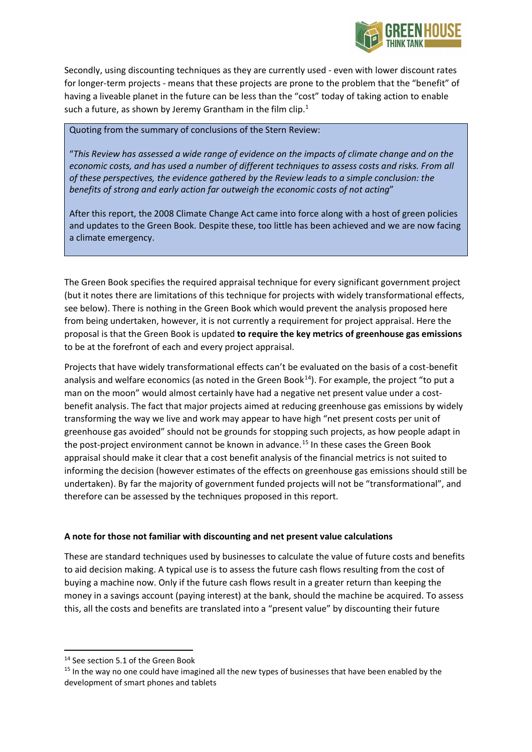

Secondly, using discounting techniques as they are currently used - even with lower discount rates for longer-term projects - means that these projects are prone to the problem that the "benefit" of having a liveable planet in the future can be less than the "cost" today of taking action to enable such a future, as shown by Jeremy Grantham in the film clip. $1$ 

Quoting from the summary of conclusions of the Stern Review:

"*This Review has assessed a wide range of evidence on the impacts of climate change and on the*  economic costs, and has used a number of different techniques to assess costs and risks. From all *of these perspectives, the evidence gathered by the Review leads to a simple conclusion: the benefits of strong and early action far outweigh the economic costs of not acting*"

After this report, the 2008 Climate Change Act came into force along with a host of green policies and updates to the Green Book. Despite these, too little has been achieved and we are now facing a climate emergency.

The Green Book specifies the required appraisal technique for every significant government project (but it notes there are limitations of this technique for projects with widely transformational effects, see below). There is nothing in the Green Book which would prevent the analysis proposed here from being undertaken, however, it is not currently a requirement for project appraisal. Here the proposal is that the Green Book is updated **to require the key metrics of greenhouse gas emissions** to be at the forefront of each and every project appraisal.

Projects that have widely transformational effects can't be evaluated on the basis of a cost-benefit analysis and welfare economics (as noted in the Green Book<sup>[14](#page-4-0)</sup>). For example, the project "to put a man on the moon" would almost certainly have had a negative net present value under a costbenefit analysis. The fact that major projects aimed at reducing greenhouse gas emissions by widely transforming the way we live and work may appear to have high "net present costs per unit of greenhouse gas avoided" should not be grounds for stopping such projects, as how people adapt in the post-project environment cannot be known in advance. [15](#page-4-1) In these cases the Green Book appraisal should make it clear that a cost benefit analysis of the financial metrics is not suited to informing the decision (however estimates of the effects on greenhouse gas emissions should still be undertaken). By far the majority of government funded projects will not be "transformational", and therefore can be assessed by the techniques proposed in this report.

### **A note for those not familiar with discounting and net present value calculations**

These are standard techniques used by businesses to calculate the value of future costs and benefits to aid decision making. A typical use is to assess the future cash flows resulting from the cost of buying a machine now. Only if the future cash flows result in a greater return than keeping the money in a savings account (paying interest) at the bank, should the machine be acquired. To assess this, all the costs and benefits are translated into a "present value" by discounting their future

<span id="page-4-0"></span><sup>&</sup>lt;sup>14</sup> See section 5.1 of the Green Book

<span id="page-4-1"></span><sup>&</sup>lt;sup>15</sup> In the way no one could have imagined all the new types of businesses that have been enabled by the development of smart phones and tablets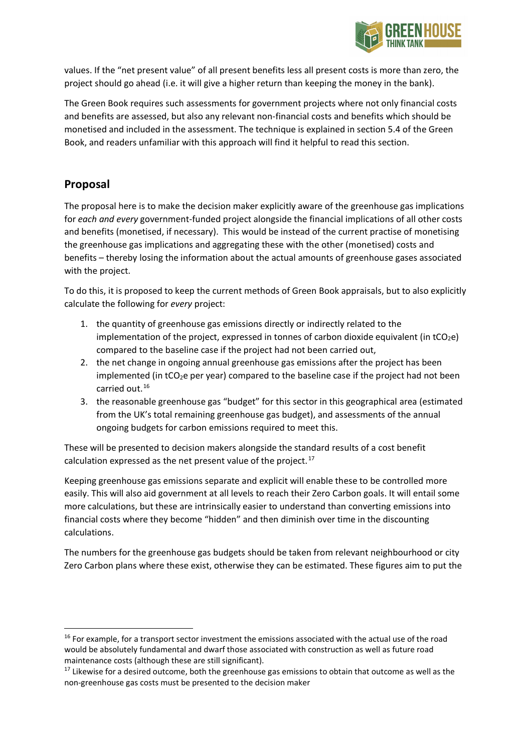

values. If the "net present value" of all present benefits less all present costs is more than zero, the project should go ahead (i.e. it will give a higher return than keeping the money in the bank).

The Green Book requires such assessments for government projects where not only financial costs and benefits are assessed, but also any relevant non-financial costs and benefits which should be monetised and included in the assessment. The technique is explained in section 5.4 of the Green Book, and readers unfamiliar with this approach will find it helpful to read this section.

# **Proposal**

The proposal here is to make the decision maker explicitly aware of the greenhouse gas implications for *each and every* government-funded project alongside the financial implications of all other costs and benefits (monetised, if necessary). This would be instead of the current practise of monetising the greenhouse gas implications and aggregating these with the other (monetised) costs and benefits – thereby losing the information about the actual amounts of greenhouse gases associated with the project.

To do this, it is proposed to keep the current methods of Green Book appraisals, but to also explicitly calculate the following for *every* project:

- 1. the quantity of greenhouse gas emissions directly or indirectly related to the implementation of the project, expressed in tonnes of carbon dioxide equivalent (in  $tCO<sub>2</sub>e$ ) compared to the baseline case if the project had not been carried out,
- 2. the net change in ongoing annual greenhouse gas emissions after the project has been implemented (in  $tCO_2e$  per year) compared to the baseline case if the project had not been carried out. [16](#page-5-0)
- 3. the reasonable greenhouse gas "budget" for this sector in this geographical area (estimated from the UK's total remaining greenhouse gas budget), and assessments of the annual ongoing budgets for carbon emissions required to meet this.

These will be presented to decision makers alongside the standard results of a cost benefit calculation expressed as the net present value of the project.<sup>[17](#page-5-1)</sup>

Keeping greenhouse gas emissions separate and explicit will enable these to be controlled more easily. This will also aid government at all levels to reach their Zero Carbon goals. It will entail some more calculations, but these are intrinsically easier to understand than converting emissions into financial costs where they become "hidden" and then diminish over time in the discounting calculations.

The numbers for the greenhouse gas budgets should be taken from relevant neighbourhood or city Zero Carbon plans where these exist, otherwise they can be estimated. These figures aim to put the

<span id="page-5-0"></span><sup>&</sup>lt;sup>16</sup> For example, for a transport sector investment the emissions associated with the actual use of the road would be absolutely fundamental and dwarf those associated with construction as well as future road maintenance costs (although these are still significant).

<span id="page-5-1"></span> $17$  Likewise for a desired outcome, both the greenhouse gas emissions to obtain that outcome as well as the non-greenhouse gas costs must be presented to the decision maker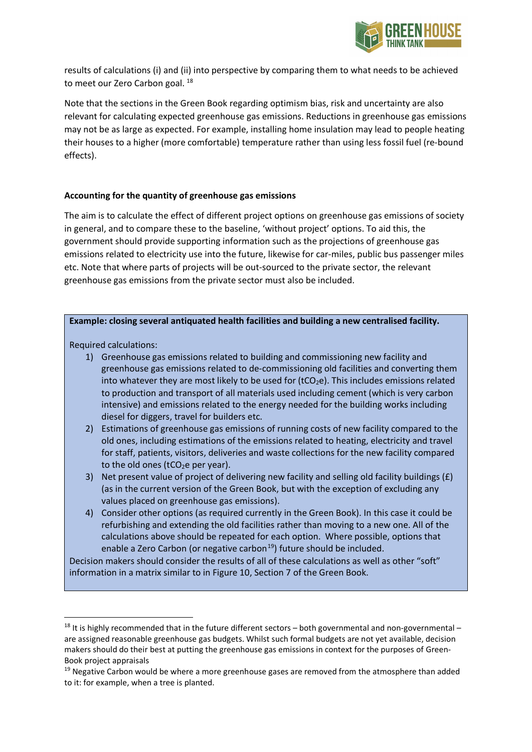

results of calculations (i) and (ii) into perspective by comparing them to what needs to be achieved to meet our Zero Carbon goal.<sup>[18](#page-6-0)</sup>

Note that the sections in the Green Book regarding optimism bias, risk and uncertainty are also relevant for calculating expected greenhouse gas emissions. Reductions in greenhouse gas emissions may not be as large as expected. For example, installing home insulation may lead to people heating their houses to a higher (more comfortable) temperature rather than using less fossil fuel (re-bound effects).

#### **Accounting for the quantity of greenhouse gas emissions**

The aim is to calculate the effect of different project options on greenhouse gas emissions of society in general, and to compare these to the baseline, 'without project' options. To aid this, the government should provide supporting information such as the projections of greenhouse gas emissions related to electricity use into the future, likewise for car-miles, public bus passenger miles etc. Note that where parts of projects will be out-sourced to the private sector, the relevant greenhouse gas emissions from the private sector must also be included.

#### **Example: closing several antiquated health facilities and building a new centralised facility.**

Required calculations:

- 1) Greenhouse gas emissions related to building and commissioning new facility and greenhouse gas emissions related to de-commissioning old facilities and converting them into whatever they are most likely to be used for  $(tCO<sub>2</sub>e)$ . This includes emissions related to production and transport of all materials used including cement (which is very carbon intensive) and emissions related to the energy needed for the building works including diesel for diggers, travel for builders etc.
- 2) Estimations of greenhouse gas emissions of running costs of new facility compared to the old ones, including estimations of the emissions related to heating, electricity and travel for staff, patients, visitors, deliveries and waste collections for the new facility compared to the old ones ( $tCO<sub>2</sub>e$  per year).
- 3) Net present value of project of delivering new facility and selling old facility buildings (£) (as in the current version of the Green Book, but with the exception of excluding any values placed on greenhouse gas emissions).
- 4) Consider other options (as required currently in the Green Book). In this case it could be refurbishing and extending the old facilities rather than moving to a new one. All of the calculations above should be repeated for each option. Where possible, options that enable a Zero Carbon (or negative carbon<sup>19</sup>) future should be included.

Decision makers should consider the results of all of these calculations as well as other "soft" information in a matrix similar to in Figure 10, Section 7 of the Green Book.

<span id="page-6-0"></span> $18$  It is highly recommended that in the future different sectors – both governmental and non-governmental – are assigned reasonable greenhouse gas budgets. Whilst such formal budgets are not yet available, decision makers should do their best at putting the greenhouse gas emissions in context for the purposes of Green-Book project appraisals

<span id="page-6-1"></span> $19$  Negative Carbon would be where a more greenhouse gases are removed from the atmosphere than added to it: for example, when a tree is planted.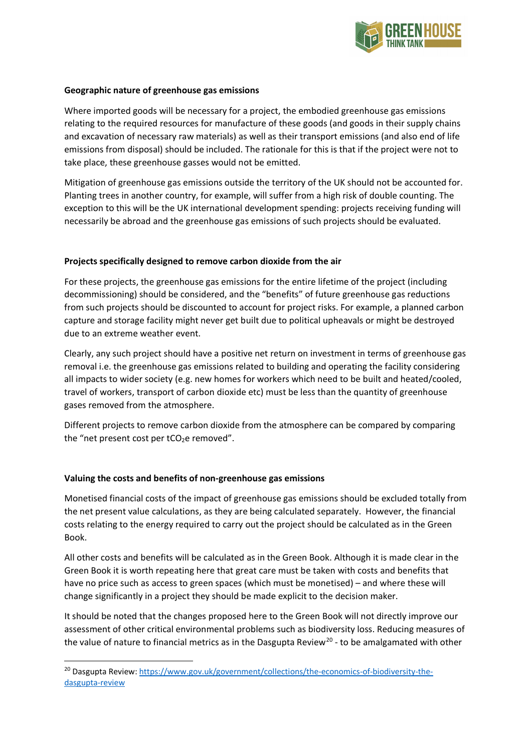

#### **Geographic nature of greenhouse gas emissions**

Where imported goods will be necessary for a project, the embodied greenhouse gas emissions relating to the required resources for manufacture of these goods (and goods in their supply chains and excavation of necessary raw materials) as well as their transport emissions (and also end of life emissions from disposal) should be included. The rationale for this is that if the project were not to take place, these greenhouse gasses would not be emitted.

Mitigation of greenhouse gas emissions outside the territory of the UK should not be accounted for. Planting trees in another country, for example, will suffer from a high risk of double counting. The exception to this will be the UK international development spending: projects receiving funding will necessarily be abroad and the greenhouse gas emissions of such projects should be evaluated.

#### **Projects specifically designed to remove carbon dioxide from the air**

For these projects, the greenhouse gas emissions for the entire lifetime of the project (including decommissioning) should be considered, and the "benefits" of future greenhouse gas reductions from such projects should be discounted to account for project risks. For example, a planned carbon capture and storage facility might never get built due to political upheavals or might be destroyed due to an extreme weather event.

Clearly, any such project should have a positive net return on investment in terms of greenhouse gas removal i.e. the greenhouse gas emissions related to building and operating the facility considering all impacts to wider society (e.g. new homes for workers which need to be built and heated/cooled, travel of workers, transport of carbon dioxide etc) must be less than the quantity of greenhouse gases removed from the atmosphere.

Different projects to remove carbon dioxide from the atmosphere can be compared by comparing the "net present cost per  $tCO<sub>2</sub>e$  removed".

#### **Valuing the costs and benefits of non-greenhouse gas emissions**

Monetised financial costs of the impact of greenhouse gas emissions should be excluded totally from the net present value calculations, as they are being calculated separately. However, the financial costs relating to the energy required to carry out the project should be calculated as in the Green Book.

All other costs and benefits will be calculated as in the Green Book. Although it is made clear in the Green Book it is worth repeating here that great care must be taken with costs and benefits that have no price such as access to green spaces (which must be monetised) – and where these will change significantly in a project they should be made explicit to the decision maker.

It should be noted that the changes proposed here to the Green Book will not directly improve our assessment of other critical environmental problems such as biodiversity loss. Reducing measures of the value of nature to financial metrics as in the Dasgupta Review<sup>[20](#page-7-0)</sup> - to be amalgamated with other

<span id="page-7-0"></span><sup>&</sup>lt;sup>20</sup> Dasgupta Review[: https://www.gov.uk/government/collections/the-economics-of-biodiversity-the](https://www.gov.uk/government/collections/the-economics-of-biodiversity-the-dasgupta-review)[dasgupta-review](https://www.gov.uk/government/collections/the-economics-of-biodiversity-the-dasgupta-review)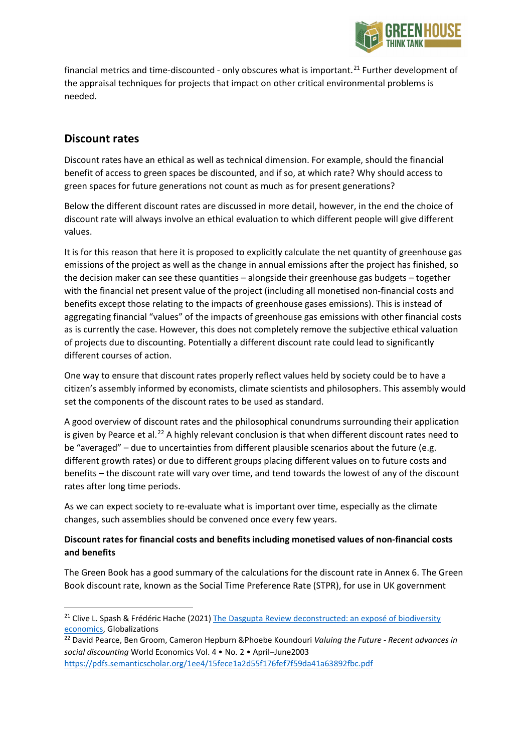

financial metrics and time-discounted - only obscures what is important.<sup>[21](#page-8-0)</sup> Further development of the appraisal techniques for projects that impact on other critical environmental problems is needed.

## **Discount rates**

Discount rates have an ethical as well as technical dimension. For example, should the financial benefit of access to green spaces be discounted, and if so, at which rate? Why should access to green spaces for future generations not count as much as for present generations?

Below the different discount rates are discussed in more detail, however, in the end the choice of discount rate will always involve an ethical evaluation to which different people will give different values.

It is for this reason that here it is proposed to explicitly calculate the net quantity of greenhouse gas emissions of the project as well as the change in annual emissions after the project has finished, so the decision maker can see these quantities – alongside their greenhouse gas budgets – together with the financial net present value of the project (including all monetised non-financial costs and benefits except those relating to the impacts of greenhouse gases emissions). This is instead of aggregating financial "values" of the impacts of greenhouse gas emissions with other financial costs as is currently the case. However, this does not completely remove the subjective ethical valuation of projects due to discounting. Potentially a different discount rate could lead to significantly different courses of action.

One way to ensure that discount rates properly reflect values held by society could be to have a citizen's assembly informed by economists, climate scientists and philosophers. This assembly would set the components of the discount rates to be used as standard.

A good overview of discount rates and the philosophical conundrums surrounding their application is given by Pearce et al.<sup>[22](#page-8-1)</sup> A highly relevant conclusion is that when different discount rates need to be "averaged" – due to uncertainties from different plausible scenarios about the future (e.g. different growth rates) or due to different groups placing different values on to future costs and benefits – the discount rate will vary over time, and tend towards the lowest of any of the discount rates after long time periods.

As we can expect society to re-evaluate what is important over time, especially as the climate changes, such assemblies should be convened once every few years.

### **Discount rates for financial costs and benefits including monetised values of non-financial costs and benefits**

The Green Book has a good summary of the calculations for the discount rate in Annex 6. The Green Book discount rate, known as the Social Time Preference Rate (STPR), for use in UK government

<span id="page-8-0"></span><sup>&</sup>lt;sup>21</sup> Clive L. Spash & Frédéric Hache (2021) The Dasgupta Review deconstructed: an exposé of biodiversity [economics,](https://www.tandfonline.com/doi/full/10.1080/14747731.2021.1929007) Globalizations

<span id="page-8-1"></span><sup>22</sup> David Pearce, Ben Groom, Cameron Hepburn &Phoebe Koundouri *Valuing the Future - Recent advances in social discounting* World Economics Vol. 4 • No. 2 • April–June2003

<https://pdfs.semanticscholar.org/1ee4/15fece1a2d55f176fef7f59da41a63892fbc.pdf>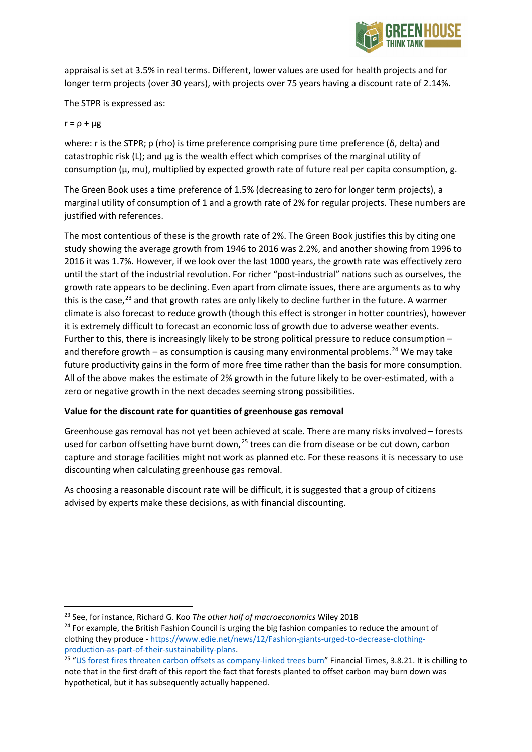

appraisal is set at 3.5% in real terms. Different, lower values are used for health projects and for longer term projects (over 30 years), with projects over 75 years having a discount rate of 2.14%.

The STPR is expressed as:

#### $r = \rho + \mu g$

where: r is the STPR;  $ρ$  (rho) is time preference comprising pure time preference ( $δ$ , delta) and catastrophic risk  $(L)$ ; and  $\mu$ g is the wealth effect which comprises of the marginal utility of consumption ( $\mu$ , mu), multiplied by expected growth rate of future real per capita consumption, g.

The Green Book uses a time preference of 1.5% (decreasing to zero for longer term projects), a marginal utility of consumption of 1 and a growth rate of 2% for regular projects. These numbers are justified with references.

The most contentious of these is the growth rate of 2%. The Green Book justifies this by citing one study showing the average growth from 1946 to 2016 was 2.2%, and another showing from 1996 to 2016 it was 1.7%. However, if we look over the last 1000 years, the growth rate was effectively zero until the start of the industrial revolution. For richer "post-industrial" nations such as ourselves, the growth rate appears to be declining. Even apart from climate issues, there are arguments as to why this is the case,<sup>[23](#page-9-0)</sup> and that growth rates are only likely to decline further in the future. A warmer climate is also forecast to reduce growth (though this effect is stronger in hotter countries), however it is extremely difficult to forecast an economic loss of growth due to adverse weather events. Further to this, there is increasingly likely to be strong political pressure to reduce consumption – and therefore growth – as consumption is causing many environmental problems.<sup>[24](#page-9-1)</sup> We may take future productivity gains in the form of more free time rather than the basis for more consumption. All of the above makes the estimate of 2% growth in the future likely to be over-estimated, with a zero or negative growth in the next decades seeming strong possibilities.

### **Value for the discount rate for quantities of greenhouse gas removal**

Greenhouse gas removal has not yet been achieved at scale. There are many risks involved – forests used for carbon offsetting have burnt down,<sup>[25](#page-9-2)</sup> trees can die from disease or be cut down, carbon capture and storage facilities might not work as planned etc. For these reasons it is necessary to use discounting when calculating greenhouse gas removal.

As choosing a reasonable discount rate will be difficult, it is suggested that a group of citizens advised by experts make these decisions, as with financial discounting.

<span id="page-9-0"></span><sup>23</sup> See, for instance, Richard G. Koo *The other half of macroeconomics* Wiley 2018

<span id="page-9-1"></span><sup>&</sup>lt;sup>24</sup> For example, the British Fashion Council is urging the big fashion companies to reduce the amount of clothing they produce - [https://www.edie.net/news/12/Fashion-giants-urged-to-decrease-clothing](https://www.edie.net/news/12/Fashion-giants-urged-to-decrease-clothing-production-as-part-of-their-sustainability-plans)[production-as-part-of-their-sustainability-plans.](https://www.edie.net/news/12/Fashion-giants-urged-to-decrease-clothing-production-as-part-of-their-sustainability-plans)

<span id="page-9-2"></span><sup>&</sup>lt;sup>25</sup> ["US forest fires threaten carbon offsets as company-linked trees burn"](https://on.ft.com/2V8DBax) Financial Times, 3.8.21. It is chilling to note that in the first draft of this report the fact that forests planted to offset carbon may burn down was hypothetical, but it has subsequently actually happened.